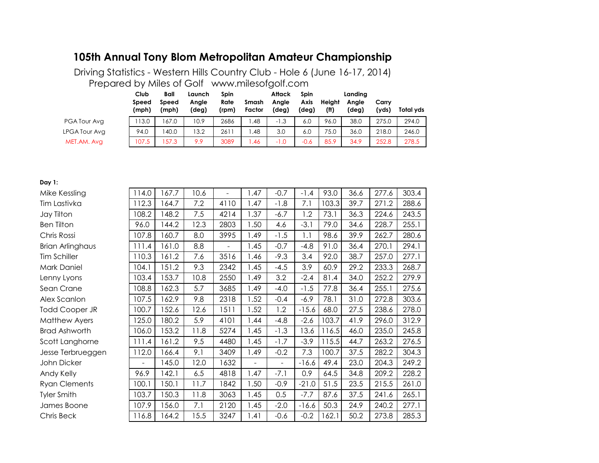# **105th Annual Tony Blom Metropolitan Amateur Championship**

Prepared by Miles of Golf www.milesofgolf.com Driving Statistics - Western Hills Country Club - Hole 6 (June 16-17, 2014)

|               | Club<br>Speed<br>(mph) | Ball<br>Speed<br>(mph) | Launch<br>Angle<br>(deg) | <b>Spin</b><br>Rate<br>(rpm) | Smash<br>Factor | Attack<br>Anale<br>(deg) | Spin<br>Axis<br>(deg) | Heiaht<br>(f <sup>H</sup> ) | Landina<br>Anale<br>(deg) | Carrv<br>(yds) | Total vds |
|---------------|------------------------|------------------------|--------------------------|------------------------------|-----------------|--------------------------|-----------------------|-----------------------------|---------------------------|----------------|-----------|
| PGA Tour Avg  | 13.0                   | 67.0                   | 10.9                     | 2686                         | .48             | $-1.3$                   | 6.0                   | 96.0                        | 38.0                      | 275.0          | 294.0     |
| LPGA Tour Avg | 94.0                   | 40.0                   | 13.2                     | 2611                         | .48             | 3.0                      | 6.0                   | 75.0                        | 36.0                      | 218.0          | 246.0     |
| MET.AM. Avg   | 107.5                  | 57.3                   | 9.9                      | 3089                         | .46             | -1.0                     | $-0.6$                | 85.9                        | 34.9                      | 252.8          | 278.5     |

#### **Day 1:**

| Mike Kessling        | 114.0                    | 167.7 | 10.6 |                          | 1.47           | $-0.7$                   | $-1.4$  | 93.0  | 36.6 | 277.6 | 303.4 |
|----------------------|--------------------------|-------|------|--------------------------|----------------|--------------------------|---------|-------|------|-------|-------|
| Tim Lastivka         | 12.3                     | 164.7 | 7.2  | 4110                     | 1.47           | $-1.8$                   | 7.1     | 103.3 | 39.7 | 271.2 | 288.6 |
| Jay Tilton           | 108.2                    | 148.2 | 7.5  | 4214                     | 1.37           | -6.7                     | 1.2     | 73.1  | 36.3 | 224.6 | 243.5 |
| <b>Ben Tilton</b>    | 96.0                     | 144.2 | 12.3 | 2803                     | 1.50           | 4.6                      | $-3.1$  | 79.0  | 34.6 | 228.7 | 255.1 |
| Chris Rossi          | 107.8                    | 160.7 | 8.0  | 3995                     | 1.49           | $-1.5$                   | 1.1     | 98.6  | 39.9 | 262.7 | 280.6 |
| Brian Arlinghaus     | 111.4                    | 161.0 | 8.8  | $\overline{\phantom{a}}$ | 1.45           | $-0.7$                   | $-4.8$  | 91.0  | 36.4 | 270.1 | 294.1 |
| Tim Schiller         | 110.3                    | 161.2 | 7.6  | 3516                     | 1.46           | $-9.3$                   | 3.4     | 92.0  | 38.7 | 257.0 | 277.1 |
| Mark Daniel          | 104.1                    | 151.2 | 9.3  | 2342                     | 1.45           | $-4.5$                   | 3.9     | 60.9  | 29.2 | 233.3 | 268.7 |
| Lenny Lyons          | 103.4                    | 153.7 | 10.8 | 2550                     | 1.49           | 3.2                      | $-2.4$  | 81.4  | 34.0 | 252.2 | 279.9 |
| Sean Crane           | 108.8                    | 162.3 | 5.7  | 3685                     | 1.49           | $-4.0$                   | $-1.5$  | 77.8  | 36.4 | 255.1 | 275.6 |
| Alex Scanlon         | 107.5                    | 162.9 | 9.8  | 2318                     | 1.52           | $-0.4$                   | $-6.9$  | 78.1  | 31.0 | 272.8 | 303.6 |
| Todd Cooper JR       | 100.7                    | 152.6 | 12.6 | 1511                     | 1.52           | 1.2                      | $-15.6$ | 68.0  | 27.5 | 238.6 | 278.0 |
| <b>Matthew Ayers</b> | 25.0                     | 180.2 | 5.9  | 4101                     | 1.44           | $-4.8$                   | $-2.6$  | 103.7 | 41.9 | 296.0 | 312.9 |
| <b>Brad Ashworth</b> | 106.0                    | 153.2 | 11.8 | 5274                     | 1.45           | $-1.3$                   | 13.6    | 116.5 | 46.0 | 235.0 | 245.8 |
| Scott Langhorne      | 111.4                    | 161.2 | 9.5  | 4480                     | 1.45           | $-1.7$                   | $-3.9$  | 115.5 | 44.7 | 263.2 | 276.5 |
| Jesse Terbrueggen    | 112.0                    | 166.4 | 9.1  | 3409                     | 1.49           | $-0.2$                   | 7.3     | 100.7 | 37.5 | 282.2 | 304.3 |
| John Dicker          | $\overline{\phantom{a}}$ | 145.0 | 12.0 | 1632                     | $\blacksquare$ | $\overline{\phantom{a}}$ | $-16.6$ | 49.4  | 23.0 | 204.3 | 249.2 |
| Andy Kelly           | 96.9                     | 142.1 | 6.5  | 4818                     | 1.47           | $-7.1$                   | 0.9     | 64.5  | 34.8 | 209.2 | 228.2 |
| <b>Ryan Clements</b> | 100.1                    | 150.1 | 11.7 | 1842                     | 1.50           | $-0.9$                   | $-21.0$ | 51.5  | 23.5 | 215.5 | 261.0 |
| Tyler Smith          | 103.7                    | 150.3 | 11.8 | 3063                     | 1.45           | 0.5                      | $-7.7$  | 87.6  | 37.5 | 241.6 | 265.1 |
| James Boone          | 107.9                    | 156.0 | 7.1  | 2120                     | 1.45           | $-2.0$                   | $-16.6$ | 50.3  | 24.9 | 240.2 | 277.1 |
| Chris Beck           | 116.8                    | 164.2 | 15.5 | 3247                     | 1.41           | $-0.6$                   | $-0.2$  | 162.1 | 50.2 | 273.8 | 285.3 |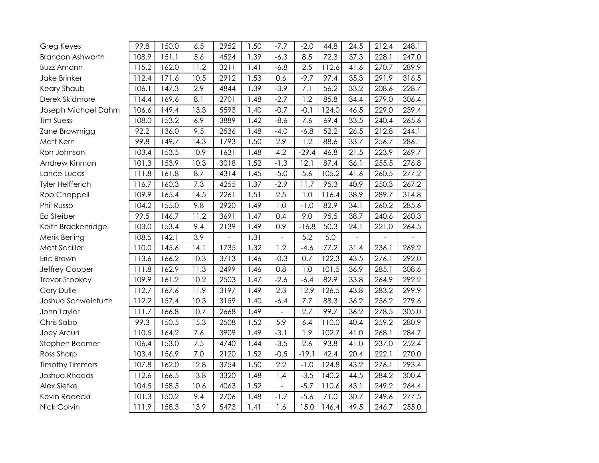| Greg Keyes              | 99.8  | 150.0 | 6.5               | 2952 | 1.50 | $-7.7$         | $-2.0$           | 44.8  | 24.5              | 212.4 | 248.1 |
|-------------------------|-------|-------|-------------------|------|------|----------------|------------------|-------|-------------------|-------|-------|
| <b>Brandon Ashworth</b> | 108.9 | 151.1 | 5.6               | 4524 | 1.39 | $-6.3$         | 8.5              | 72.3  | 37.3              | 228.1 | 247.0 |
| <b>Buzz Amann</b>       | 115.2 | 162.0 | 11.2              | 3211 | 1.41 | $-6.8$         | 2.5              | 112.6 | 41.6              | 270.7 | 289.9 |
| Jake Brinker            | 112.4 | 171.6 | 10.5              | 2912 | 1.53 | 0.6            | $-9.7$           | 97.4  | 35.3              | 291.9 | 316.5 |
| Keary Shaub             | 106.1 | 147.3 | 2.9               | 4844 | 1.39 | $-3.9$         | $\overline{7.1}$ | 56.2  | 33.2              | 208.6 | 228.7 |
| Derek Skidmore          | 114.4 | 169.6 | 8.1               | 2701 | 1.48 | $-2.7$         | 1.2              | 85.8  | 34.4              | 279.0 | 306.4 |
| Joseph Michael Dahm     | 106.6 | 149.4 | 13.3              | 5593 | 1.40 | $-0.7$         | $-0.1$           | 124.0 | 46.5              | 229.0 | 239.4 |
| <b>Tim Suess</b>        | 108.0 | 153.2 | 6.9               | 3889 | 1.42 | $-8.6$         | 7.6              | 69.4  | 33.5              | 240.4 | 265.6 |
| Zane Brownrigg          | 92.2  | 136.0 | 9.5               | 2536 | 1.48 | $-4.0$         | $-6.8$           | 52.2  | 26.5              | 212.8 | 244.1 |
| Matt Kern               | 99.8  | 149.7 | 14.3              | 1793 | 1.50 | 2.9            | 1.2              | 88.6  | 33.7              | 256.7 | 286.1 |
| Ron Johnson             | 103.4 | 153.5 | 10.9              | 1631 | 1.48 | 4.2            | $-29.4$          | 46.8  | 21.5              | 223.9 | 269.7 |
| Andrew Kinman           | 101.3 | 153.9 | $\overline{10.3}$ | 3018 | 1.52 | $-1.3$         | 12.1             | 87.4  | 36.1              | 255.5 | 276.8 |
| Lance Lucas             | 111.8 | 161.8 | 8.7               | 4314 | 1.45 | $-5.0$         | 5.6              | 105.2 | 41.6              | 260.5 | 277.2 |
| <b>Tyler Helfferich</b> | 116.7 | 160.3 | 7.3               | 4255 | 1.37 | $-2.9$         | 11.7             | 95.3  | 40.9              | 250.3 | 267.2 |
| Rob Chappell            | 109.9 | 165.4 | 14.5              | 2261 | 1.51 | 2.5            | 1.0              | 116.4 | 38.9              | 289.7 | 314.8 |
| Phil Russo              | 104.2 | 155.0 | 9.8               | 2920 | 1.49 | 1.0            | $-1.0$           | 82.9  | 34.1              | 260.2 | 285.6 |
| <b>Ed Steiber</b>       | 99.5  | 146.7 | 11.2              | 3691 | 1.47 | 0.4            | 9.0              | 95.5  | 38.7              | 240.6 | 260.3 |
| Keith Brackenridge      | 103.0 | 153.4 | 9.4               | 2139 | 1.49 | 0.9            | $-16.8$          | 50.3  | 24.1              | 221.0 | 264.5 |
| Merik Berling           | 108.5 | 142.1 | 3.9               |      | 1.31 |                | 5.2              | 5.0   |                   |       |       |
| Matt Schiller           | 110.0 | 145.6 | 14.1              | 1735 | 1.32 | 1.2            | $-4.6$           | 77.2  | 31.4              | 236.1 | 269.2 |
| Eric Brown              | 113.6 | 166.2 | 10.3              | 3713 | 1.46 | $-0.3$         | 0.7              | 122.3 | 43.5              | 276.1 | 292.0 |
| Jeffrey Cooper          | 111.8 | 162.9 | 11.3              | 2499 | 1.46 | 0.8            | 1.0              | 101.5 | 36.9              | 285.1 | 308.6 |
| <b>Trevor Stookey</b>   | 109.9 | 161.2 | 10.2              | 2503 | 1.47 | $-2.6$         | $-6.4$           | 82.9  | 33.8              | 264.9 | 292.2 |
| Cory Dulle              | 112.7 | 167.6 | 11.9              | 3197 | 1.49 | 2.3            | 12.9             | 126.5 | 43.8              | 283.2 | 299.9 |
| Joshua Schweinfurth     | 112.2 | 157.4 | 10.3              | 3159 | 1.40 | $-6.4$         | 7.7              | 88.3  | 36.2              | 256.2 | 279.6 |
| John Taylor             | 111.7 | 166.8 | 10.7              | 2668 | 1.49 |                | 2.7              | 99.7  | 36.2              | 278.5 | 305.0 |
| Chris Sabo              | 99.3  | 150.5 | 15.3              | 2508 | 1.52 | 5.9            | 6.4              | 110.0 | 40.4              | 259.2 | 280.9 |
| Joey Arcuri             | 110.5 | 164.2 | 7.6               | 3909 | 1.49 | $-3.1$         | 1.9              | 102.7 | 41.0              | 268.1 | 284.7 |
| Stephen Beamer          | 106.4 | 153.0 | 7.5               | 4740 | 1.44 | $-3.5$         | 2.6              | 93.8  | 41.0              | 237.0 | 252.4 |
| Ross Sharp              | 103.4 | 156.9 | 7.0               | 2120 | 1.52 | $-0.5$         | $-19.1$          | 42.4  | 20.4              | 222.1 | 270.0 |
| <b>Timothy Timmers</b>  | 107.8 | 162.0 | 12.8              | 3754 | 1.50 | 2.2            | $-1.0$           | 124.8 | 43.2              | 276.1 | 293.4 |
| Joshua Rhoads           | 112.6 | 166.5 | 13.8              | 3320 | 1.48 | 1.4            | $-3.5$           | 140.2 | $44.\overline{5}$ | 284.2 | 300.4 |
| Alex Siefke             | 104.5 | 158.5 | 10.6              | 4063 | 1.52 | $\overline{a}$ | $-5.7$           | 110.6 | 43.1              | 249.2 | 264.4 |
| Kevin Radecki           | 101.3 | 150.2 | 9.4               | 2706 | 1.48 | $-1.7$         | $-5.6$           | 71.0  | 30.7              | 249.6 | 277.5 |
| Nick Colvin             | 111.9 | 158.3 | 13.9              | 5473 | 1.41 | 1.6            | 15.0             | 146.4 | 49.5              | 246.7 | 255.0 |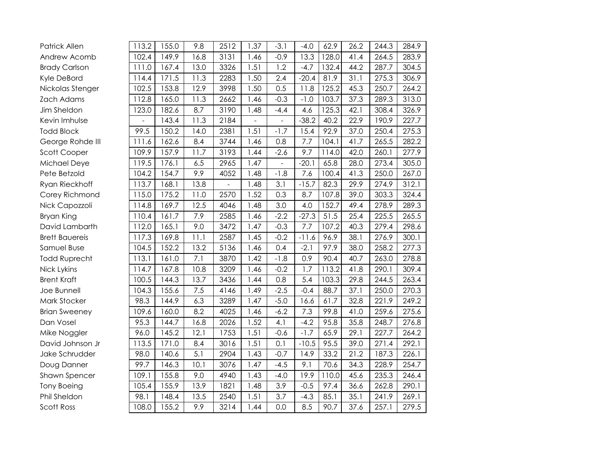| Patrick Allen         | 113.2 | 155.0 | 9.8  | 2512 | 1.37 | $-3.1$ | $-4.0$  | 62.9  | 26.2 | 244.3 | 284.9 |
|-----------------------|-------|-------|------|------|------|--------|---------|-------|------|-------|-------|
| Andrew Acomb          | 102.4 | 149.9 | 16.8 | 3131 | 1.46 | $-0.9$ | 13.3    | 128.0 | 41.4 | 264.5 | 283.9 |
| <b>Brady Carlson</b>  | 111.0 | 167.4 | 13.0 | 3326 | 1.51 | 1.2    | $-4.7$  | 132.4 | 44.2 | 287.7 | 304.5 |
| Kyle DeBord           | 114.4 | 171.5 | 11.3 | 2283 | 1.50 | 2.4    | $-20.4$ | 81.9  | 31.1 | 275.3 | 306.9 |
| Nickolas Stenger      | 102.5 | 153.8 | 12.9 | 3998 | 1.50 | 0.5    | 11.8    | 125.2 | 45.3 | 250.7 | 264.2 |
| Zach Adams            | 112.8 | 165.0 | 11.3 | 2662 | 1.46 | $-0.3$ | $-1.0$  | 103.7 | 37.3 | 289.3 | 313.0 |
| Jim Sheldon           | 123.0 | 182.6 | 8.7  | 3190 | 1.48 | $-4.4$ | 4.6     | 125.3 | 42.1 | 308.4 | 326.9 |
| Kevin Imhulse         |       | 143.4 | 11.3 | 2184 |      |        | $-38.2$ | 40.2  | 22.9 | 190.9 | 227.7 |
| <b>Todd Block</b>     | 99.5  | 150.2 | 14.0 | 2381 | 1.51 | $-1.7$ | 15.4    | 92.9  | 37.0 | 250.4 | 275.3 |
| George Rohde III      | 111.6 | 162.6 | 8.4  | 3744 | 1.46 | 0.8    | 7.7     | 104.1 | 41.7 | 265.5 | 282.2 |
| Scott Cooper          | 109.9 | 157.9 | 11.7 | 3193 | 1.44 | $-2.6$ | 9.7     | 114.0 | 42.0 | 260.1 | 277.9 |
| Michael Deye          | 119.5 | 176.1 | 6.5  | 2965 | 1.47 |        | $-20.1$ | 65.8  | 28.0 | 273.4 | 305.0 |
| Pete Betzold          | 104.2 | 154.7 | 9.9  | 4052 | 1.48 | $-1.8$ | 7.6     | 100.4 | 41.3 | 250.0 | 267.0 |
| Ryan Rieckhoff        | 113.7 | 168.1 | 13.8 |      | 1.48 | 3.1    | $-15.7$ | 82.3  | 29.9 | 274.9 | 312.1 |
| Corey Richmond        | 115.0 | 175.2 | 11.0 | 2570 | 1.52 | 0.3    | 8.7     | 107.8 | 39.0 | 303.3 | 324.4 |
| Nick Capozzoli        | 114.8 | 169.7 | 12.5 | 4046 | 1.48 | 3.0    | 4.0     | 152.7 | 49.4 | 278.9 | 289.3 |
| Bryan King            | 110.4 | 161.7 | 7.9  | 2585 | 1.46 | $-2.2$ | $-27.3$ | 51.5  | 25.4 | 225.5 | 265.5 |
| David Lambarth        | 112.0 | 165.1 | 9.0  | 3472 | 1.47 | $-0.3$ | 7.7     | 107.2 | 40.3 | 279.4 | 298.6 |
| <b>Brett Bauereis</b> | 117.3 | 169.8 | 11.1 | 2587 | 1.45 | $-0.2$ | $-11.6$ | 96.9  | 38.1 | 276.9 | 300.1 |
| Samuel Buse           | 104.5 | 152.2 | 13.2 | 5136 | 1.46 | 0.4    | $-2.1$  | 97.9  | 38.0 | 258.2 | 277.3 |
| <b>Todd Ruprecht</b>  | 113.1 | 161.0 | 7.1  | 3870 | 1.42 | $-1.8$ | 0.9     | 90.4  | 40.7 | 263.0 | 278.8 |
| Nick Lykins           | 114.7 | 167.8 | 10.8 | 3209 | 1.46 | $-0.2$ | 1.7     | 113.2 | 41.8 | 290.1 | 309.4 |
| <b>Brent Kraft</b>    | 100.5 | 144.3 | 13.7 | 3436 | 1.44 | 0.8    | 5.4     | 103.3 | 29.8 | 244.5 | 263.4 |
| Joe Bunnell           | 104.3 | 155.6 | 7.5  | 4146 | 1.49 | $-2.5$ | $-0.4$  | 88.7  | 37.1 | 250.0 | 270.3 |
| Mark Stocker          | 98.3  | 144.9 | 6.3  | 3289 | 1.47 | $-5.0$ | 16.6    | 61.7  | 32.8 | 221.9 | 249.2 |
| <b>Brian Sweeney</b>  | 109.6 | 160.0 | 8.2  | 4025 | 1.46 | $-6.2$ | 7.3     | 99.8  | 41.0 | 259.6 | 275.6 |
| Dan Vosel             | 95.3  | 144.7 | 16.8 | 2026 | 1.52 | 4.1    | $-4.2$  | 95.8  | 35.8 | 248.7 | 276.8 |
| Mike Noggler          | 96.0  | 145.2 | 12.1 | 1753 | 1.51 | $-0.6$ | $-1.7$  | 65.9  | 29.1 | 227.7 | 264.2 |
| David Johnson Jr      | 113.5 | 171.0 | 8.4  | 3016 | 1.51 | 0.1    | $-10.5$ | 95.5  | 39.0 | 271.4 | 292.1 |
| Jake Schrudder        | 98.0  | 140.6 | 5.1  | 2904 | 1.43 | $-0.7$ | 14.9    | 33.2  | 21.2 | 187.3 | 226.1 |
| Doug Danner           | 99.7  | 146.3 | 10.1 | 3076 | 1.47 | $-4.5$ | 9.1     | 70.6  | 34.3 | 228.9 | 254.7 |
| Shawn Spencer         | 109.1 | 155.8 | 9.0  | 4940 | 1.43 | $-4.0$ | 19.9    | 110.0 | 45.6 | 235.3 | 246.4 |
| <b>Tony Boeing</b>    | 105.4 | 155.9 | 13.9 | 1821 | 1.48 | 3.9    | $-0.5$  | 97.4  | 36.6 | 262.8 | 290.1 |
| Phil Sheldon          | 98.1  | 148.4 | 13.5 | 2540 | 1.51 | 3.7    | $-4.3$  | 85.1  | 35.1 | 241.9 | 269.1 |
| Scott Ross            | 108.0 | 155.2 | 9.9  | 3214 | 1.44 | 0.0    | 8.5     | 90.7  | 37.6 | 257.1 | 279.5 |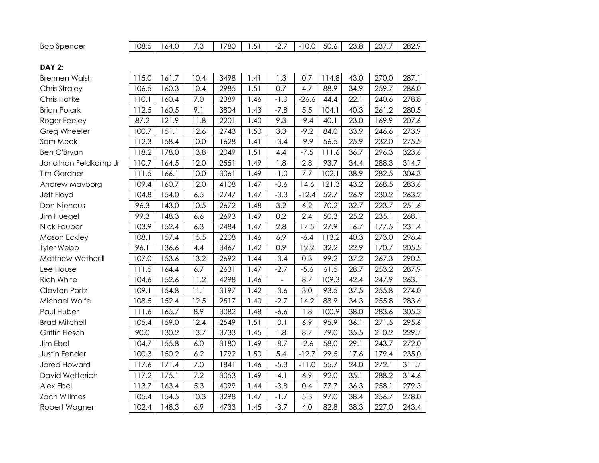| 780<br>ד דמר<br>E <sub>1</sub><br>າ ເຊ<br>108.5<br><b>Bob Spencer</b><br>50.6<br>10.0<br>282.9<br>51<br>64.U<br>237<br>- 1<br>20.U<br>ا ب.<br>ں.<br><u>.</u><br>. . |
|---------------------------------------------------------------------------------------------------------------------------------------------------------------------|
|---------------------------------------------------------------------------------------------------------------------------------------------------------------------|

### **DAY 2:**

| Brennen Walsh        | 115.0 | 161.7 | 10.4 | 3498 | 1.41 | 1.3            | 0.7     | 114.8 | 43.0 | 270.0 | 287.1 |
|----------------------|-------|-------|------|------|------|----------------|---------|-------|------|-------|-------|
| Chris Straley        | 106.5 | 160.3 | 10.4 | 2985 | 1.51 | 0.7            | 4.7     | 88.9  | 34.9 | 259.7 | 286.0 |
| Chris Hatke          | 110.1 | 160.4 | 7.0  | 2389 | 1.46 | $-1.0$         | $-26.6$ | 44.4  | 22.1 | 240.6 | 278.8 |
| <b>Brian Polark</b>  | 112.5 | 160.5 | 9.1  | 3804 | 1.43 | $-7.8$         | 5.5     | 104.1 | 40.3 | 261.2 | 280.5 |
| Roger Feeley         | 87.2  | 121.9 | 11.8 | 2201 | 1.40 | 9.3            | $-9.4$  | 40.1  | 23.0 | 169.9 | 207.6 |
| Greg Wheeler         | 100.7 | 151.1 | 12.6 | 2743 | 1.50 | 3.3            | $-9.2$  | 84.0  | 33.9 | 246.6 | 273.9 |
| Sam Meek             | 112.3 | 158.4 | 10.0 | 1628 | 1.41 | $-3.4$         | $-9.9$  | 56.5  | 25.9 | 232.0 | 275.5 |
| Ben O'Bryan          | 118.2 | 178.0 | 13.8 | 2049 | 1.51 | 4.4            | $-7.5$  | 111.6 | 36.7 | 296.3 | 323.6 |
| Jonathan Feldkamp Jr | 110.7 | 164.5 | 12.0 | 2551 | 1.49 | 1.8            | 2.8     | 93.7  | 34.4 | 288.3 | 314.7 |
| <b>Tim Gardner</b>   | 111.5 | 166.1 | 10.0 | 3061 | 1.49 | $-1.0$         | 7.7     | 102.1 | 38.9 | 282.5 | 304.3 |
| Andrew Mayborg       | 109.4 | 160.7 | 12.0 | 4108 | 1.47 | $-0.6$         | 14.6    | 121.3 | 43.2 | 268.5 | 283.6 |
| <b>Jeff Floyd</b>    | 104.8 | 154.0 | 6.5  | 2747 | 1.47 | $-3.3$         | $-12.4$ | 52.7  | 26.9 | 230.2 | 263.2 |
| Don Niehaus          | 96.3  | 143.0 | 10.5 | 2672 | 1.48 | 3.2            | 6.2     | 70.2  | 32.7 | 223.7 | 251.6 |
| Jim Huegel           | 99.3  | 148.3 | 6.6  | 2693 | 1.49 | 0.2            | 2.4     | 50.3  | 25.2 | 235.1 | 268.1 |
| Nick Fauber          | 103.9 | 152.4 | 6.3  | 2484 | 1.47 | 2.8            | 17.5    | 27.9  | 16.7 | 177.5 | 231.4 |
| Mason Eckley         | 108.1 | 157.4 | 15.5 | 2208 | 1.46 | 6.9            | $-6.4$  | 113.2 | 40.3 | 273.0 | 296.4 |
| Tyler Webb           | 96.1  | 136.6 | 4.4  | 3467 | 1.42 | 0.9            | 12.2    | 32.2  | 22.9 | 170.7 | 205.5 |
| Matthew Wetherill    | 107.0 | 153.6 | 13.2 | 2692 | 1.44 | $-3.4$         | 0.3     | 99.2  | 37.2 | 267.3 | 290.5 |
| Lee House            | 111.5 | 164.4 | 6.7  | 2631 | 1.47 | $-2.7$         | $-5.6$  | 61.5  | 28.7 | 253.2 | 287.9 |
| <b>Rich White</b>    | 104.6 | 152.6 | 11.2 | 4298 | 1.46 | $\overline{a}$ | 8.7     | 109.3 | 42.4 | 247.9 | 263.1 |
| Clayton Portz        | 109.1 | 154.8 | 11.1 | 3197 | 1.42 | $-3.6$         | 3.0     | 93.5  | 37.5 | 255.8 | 274.0 |
| Michael Wolfe        | 108.5 | 152.4 | 12.5 | 2517 | 1.40 | $-2.7$         | 14.2    | 88.9  | 34.3 | 255.8 | 283.6 |
| Paul Huber           | 111.6 | 165.7 | 8.9  | 3082 | 1.48 | $-6.6$         | 1.8     | 100.9 | 38.0 | 283.6 | 305.3 |
| <b>Brad Mitchell</b> | 105.4 | 159.0 | 12.4 | 2549 | 1.51 | $-0.1$         | 6.9     | 95.9  | 36.1 | 271.5 | 295.6 |
| Griffin Flesch       | 90.0  | 130.2 | 13.7 | 3733 | 1.45 | 1.8            | 8.7     | 79.0  | 35.5 | 210.2 | 229.7 |
| Jim Ebel             | 104.7 | 155.8 | 6.0  | 3180 | 1.49 | $-8.7$         | $-2.6$  | 58.0  | 29.1 | 243.7 | 272.0 |
| <b>Justin Fender</b> | 100.3 | 150.2 | 6.2  | 1792 | 1.50 | 5.4            | $-12.7$ | 29.5  | 17.6 | 179.4 | 235.0 |
| Jared Howard         | 117.6 | 171.4 | 7.0  | 1841 | 1.46 | $-5.3$         | $-11.0$ | 55.7  | 24.0 | 272.1 | 311.7 |
| David Wetterich      | 117.2 | 175.1 | 7.2  | 3053 | 1.49 | $-4.1$         | 6.9     | 92.0  | 35.1 | 288.2 | 314.6 |
| Alex Ebel            | 113.7 | 163.4 | 5.3  | 4099 | 1.44 | $-3.8$         | 0.4     | 77.7  | 36.3 | 258.1 | 279.3 |
| Zach Willmes         | 105.4 | 154.5 | 10.3 | 3298 | 1.47 | $-1.7$         | 5.3     | 97.0  | 38.4 | 256.7 | 278.0 |
| Robert Wagner        | 102.4 | 148.3 | 6.9  | 4733 | 1.45 | $-3.7$         | 4.0     | 82.8  | 38.3 | 227.0 | 243.4 |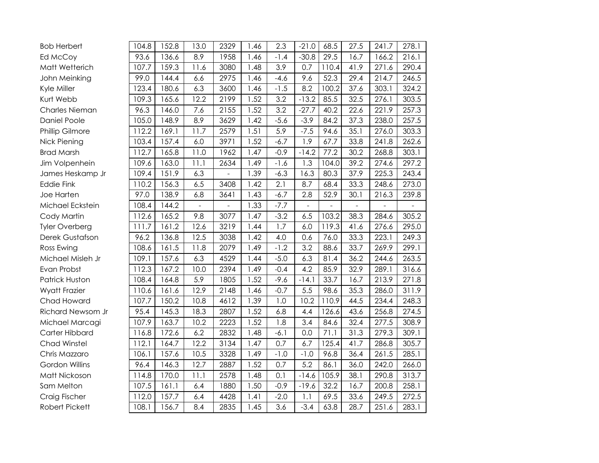| <b>Bob Herbert</b>    | 104.8              | 152.8 | 13.0 | 2329 | 1.46 | 2.3    | $-21.0$ | 68.5  | 27.5 | 241.7 | 278.1 |
|-----------------------|--------------------|-------|------|------|------|--------|---------|-------|------|-------|-------|
| Ed McCoy              | 93.6               | 136.6 | 8.9  | 1958 | 1.46 | $-1.4$ | $-30.8$ | 29.5  | 16.7 | 166.2 | 216.1 |
| Matt Wetterich        | 107.7              | 159.3 | 11.6 | 3080 | 1.48 | 3.9    | 0.7     | 110.4 | 41.9 | 271.6 | 290.4 |
| John Meinking         | 99.0               | 144.4 | 6.6  | 2975 | 1.46 | $-4.6$ | 9.6     | 52.3  | 29.4 | 214.7 | 246.5 |
| Kyle Miller           | 123.4              | 180.6 | 6.3  | 3600 | 1.46 | $-1.5$ | 8.2     | 100.2 | 37.6 | 303.1 | 324.2 |
| Kurt Webb             | 109.3              | 165.6 | 12.2 | 2199 | 1.52 | 3.2    | $-13.2$ | 85.5  | 32.5 | 276.1 | 303.5 |
| Charles Nieman        | 96.3               | 146.0 | 7.6  | 2155 | 1.52 | 3.2    | $-27.7$ | 40.2  | 22.6 | 221.9 | 257.3 |
| <b>Daniel Poole</b>   | 105.0              | 148.9 | 8.9  | 3629 | 1.42 | $-5.6$ | $-3.9$  | 84.2  | 37.3 | 238.0 | 257.5 |
| Phillip Gilmore       | 112.2              | 169.1 | 11.7 | 2579 | 1.51 | 5.9    | $-7.5$  | 94.6  | 35.1 | 276.0 | 303.3 |
| Nick Piening          | 103.4              | 157.4 | 6.0  | 3971 | 1.52 | $-6.7$ | 1.9     | 67.7  | 33.8 | 241.8 | 262.6 |
| <b>Brad Marsh</b>     | 112.7              | 165.8 | 11.0 | 1962 | 1.47 | $-0.9$ | $-14.2$ | 77.2  | 30.2 | 268.8 | 303.1 |
| Jim Volpenhein        | 109.6              | 163.0 | 11.1 | 2634 | 1.49 | $-1.6$ | 1.3     | 104.0 | 39.2 | 274.6 | 297.2 |
| James Heskamp Jr      | 109.4              | 151.9 | 6.3  |      | 1.39 | $-6.3$ | 16.3    | 80.3  | 37.9 | 225.3 | 243.4 |
| <b>Eddie Fink</b>     | 110.2              | 156.3 | 6.5  | 3408 | 1.42 | 2.1    | 8.7     | 68.4  | 33.3 | 248.6 | 273.0 |
| Joe Harten            | 97.0               | 138.9 | 6.8  | 3641 | 1.43 | $-6.7$ | 2.8     | 52.9  | 30.1 | 216.3 | 239.8 |
| Michael Eckstein      | 108.4              | 144.2 |      |      | 1.33 | $-7.7$ |         |       |      |       |       |
| Cody Martin           | 112.6              | 165.2 | 9.8  | 3077 | 1.47 | $-3.2$ | 6.5     | 103.2 | 38.3 | 284.6 | 305.2 |
| Tyler Overberg        | 111.7              | 161.2 | 12.6 | 3219 | 1.44 | 1.7    | 6.0     | 119.3 | 41.6 | 276.6 | 295.0 |
| Derek Gustafson       | 96.2               | 136.8 | 12.5 | 3038 | 1.42 | 4.0    | 0.6     | 76.0  | 33.3 | 223.1 | 249.3 |
| Ross Ewing            | 108.6              | 161.5 | 11.8 | 2079 | 1.49 | $-1.2$ | 3.2     | 88.6  | 33.7 | 269.9 | 299.1 |
| Michael Misleh Jr     | 109.1              | 157.6 | 6.3  | 4529 | 1.44 | $-5.0$ | 6.3     | 81.4  | 36.2 | 244.6 | 263.5 |
| Evan Probst           | 112.3              | 167.2 | 10.0 | 2394 | 1.49 | $-0.4$ | 4.2     | 85.9  | 32.9 | 289.1 | 316.6 |
| Patrick Huston        | 108.4              | 164.8 | 5.9  | 1805 | 1.52 | $-9.6$ | $-14.1$ | 33.7  | 16.7 | 213.9 | 271.8 |
| Wyatt Frazier         | 110.6              | 161.6 | 12.9 | 2148 | 1.46 | $-0.7$ | 5.5     | 98.6  | 35.3 | 286.0 | 311.9 |
| Chad Howard           | 107.7              | 150.2 | 10.8 | 4612 | 1.39 | 1.0    | 10.2    | 110.9 | 44.5 | 234.4 | 248.3 |
| Richard Newsom Jr     | 95.4               | 145.3 | 18.3 | 2807 | 1.52 | 6.8    | 4.4     | 126.6 | 43.6 | 256.8 | 274.5 |
| Michael Marcagi       | 107.9              | 163.7 | 10.2 | 2223 | 1.52 | 1.8    | 3.4     | 84.6  | 32.4 | 277.5 | 308.9 |
| Carter Hibbard        | 116.8              | 172.6 | 6.2  | 2832 | 1.48 | $-6.1$ | 0.0     | 71.1  | 31.3 | 279.3 | 309.1 |
| Chad Winstel          | 112.1              | 164.7 | 12.2 | 3134 | 1.47 | 0.7    | 6.7     | 125.4 | 41.7 | 286.8 | 305.7 |
| Chris Mazzaro         | 106.1              | 157.6 | 10.5 | 3328 | 1.49 | $-1.0$ | $-1.0$  | 96.8  | 36.4 | 261.5 | 285.1 |
| Gordon Willins        | 96.4               | 146.3 | 12.7 | 2887 | 1.52 | 0.7    | 5.2     | 86.1  | 36.0 | 242.0 | 266.0 |
| Matt Nickoson         | 114.8              | 170.0 | 11.1 | 2578 | 1.48 | 0.1    | $-14.6$ | 105.9 | 38.1 | 290.8 | 313.7 |
| Sam Melton            | 107.5              | 161.1 | 6.4  | 1880 | 1.50 | $-0.9$ | $-19.6$ | 32.2  | 16.7 | 200.8 | 258.1 |
| Craig Fischer         | $\overline{1}12.0$ | 157.7 | 6.4  | 4428 | 1.41 | $-2.0$ | 1.1     | 69.5  | 33.6 | 249.5 | 272.5 |
| <b>Robert Pickett</b> | 108.1              | 156.7 | 8.4  | 2835 | 1.45 | 3.6    | $-3.4$  | 63.8  | 28.7 | 251.6 | 283.1 |